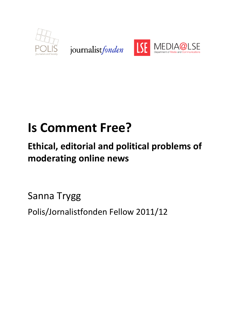

journalist fonden



# **Is Comment Free?**

# **Ethical, editorial and political problems of moderating online news**

Sanna Trygg Polis/Jornalistfonden Fellow 2011/12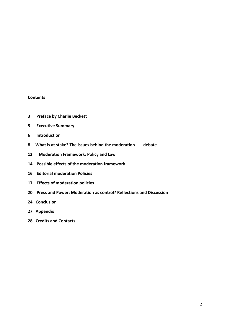#### **Contents**

- **3 Preface by Charlie Beckett**
- **5 Executive Summary**
- **6** Introduction
- 8 What is at stake? The issues behind the moderation debate
- **12 Moderation Framework: Policy and Law**
- 14 Possible effects of the moderation framework
- **16 Editorial moderation Policies**
- **17 Effects of moderation policies**
- **20 Press and Power: Moderation as control? Reflections and Discussion**
- 24 Conclusion
- 27 Appendix
- **28 Credits and Contacts**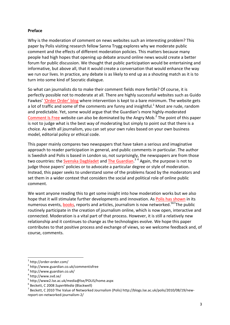#### **Preface**

Why is the moderation of comment on news websites such an interesting problem? This paper by Polis visiting research fellow Sanna Trygg explores why we moderate public comment and the effects of different moderation policies. This matters because many people had high hopes that opening up debate around online news would create a better forum for public discussion. We thought that public participation would be entertaining and informative, but above all, that it would create a conversation that would enhance the way we run our lives. In practice, any debate is as likely to end up as a shouting match as it is to turn into some kind of Socratic dialogue.

So what can journalists do to make their comment fields more fertile? Of course, it is perfectly possible not to moderate at all. There are highly successful websites such as Guido Fawkes' 'Order Order' blog where intervention is kept to a bare minimum. The website gets a lot of traffic and some of the comments are funny and insightful.<sup>1</sup> Most are rude, random and predictable. Yet, some would argue that the Guardian's more highly-moderated Comment Is Free website can also be dominated by the Angry Mob.<sup>2</sup> The point of this paper is not to judge what is the best way of moderating but simply to point out that there is a choice. As with all journalism, you can set your own rules based on your own business model, editorial policy or ethical code.

This paper mainly compares two newspapers that have taken a serious and imaginative approach to reader participation in general, and public comments in particular. The author is Swedish and Polis is based in London so, not surprisingly, the newspapers are from those two countries: the <u>Svenska Dagbladet</u> and The Guardian.<sup>34</sup> Again, the purpose is not to judge those papers' policies or to advocate a particular degree or style of moderation. Instead, this paper seeks to understand some of the problems faced by the moderators and set them in a wider context that considers the social and political role of online public comment.

We want anyone reading this to get some insight into how moderation works but we also hope that it will stimulate further developments and innovation. As Polis has shown in its numerous events, **books**, reports and articles, journalism is now networked.<sup>567</sup>The public routinely participate in the creation of journalism online, which is now open, interactive and connected. Moderation is a vital part of that process. However, it is still a relatively new relationship and it continues to change as the technologies evolve. We hope this paper contributes to that positive process and exchange of views, so we welcome feedback and, of course, comments.

 $1$  http://order-order.com/<br> $2$  http://www.guardian.co.uk/commentisfree

<sup>3</sup> http://www.guardian.co.uk/

 $^4$  http://www.svd.se/<br> $^5$  http://www2.lse.ac.uk/media@lse/POLIS/home.aspx

<sup>&</sup>lt;sup>6</sup> Beckett, C 2008 SuperMedia (Blackwell)<br><sup>7</sup> Beckett, G 2010 The Value of Naturalian

 $^7$  Beckett, C 2010 The Value of Networked Journalism (Polis) http://blogs.lse.ac.uk/polis/2010/08/19/new-

report-on-networked-journalism-2/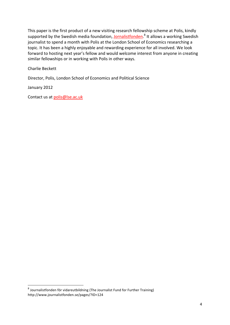This paper is the first product of a new visiting research fellowship scheme at Polis, kindly supported by the Swedish media foundation, Jornalistfonden.<sup>8</sup> It allows a working Swedish journalist to spend a month with Polis at the London School of Economics researching a topic. It has been a highly enjoyable and rewarding experience for all involved. We look forward to hosting next year's fellow and would welcome interest from anyone in creating similar fellowships or in working with Polis in other ways.

Charlie Beckett

Director, Polis, London School of Economics and Political Science

January 2012

Contact us at polis@lse.ac.uk

 $8$  Journalistfonden för vidareutbildning (The Journalist Fund for Further Training) http://www.journalistfonden.se/pages/?ID=124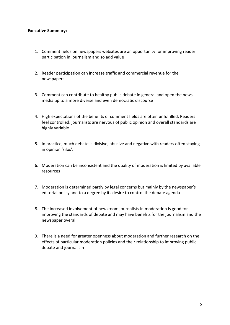#### **Executive Summary:**

- 1. Comment fields on newspapers websites are an opportunity for improving reader participation in journalism and so add value
- 2. Reader participation can increase traffic and commercial revenue for the newspapers
- 3. Comment can contribute to healthy public debate in general and open the news media up to a more diverse and even democratic discourse
- 4. High expectations of the benefits of comment fields are often unfulfilled. Readers feel controlled, journalists are nervous of public opinion and overall standards are highly variable
- 5. In practice, much debate is divisive, abusive and negative with readers often staying in opinion 'silos'.
- 6. Moderation can be inconsistent and the quality of moderation is limited by available resources!
- 7. Moderation is determined partly by legal concerns but mainly by the newspaper's editorial policy and to a degree by its desire to control the debate agenda
- 8. The increased involvement of newsroom journalists in moderation is good for improving the standards of debate and may have benefits for the journalism and the newspaper overall
- 9. There is a need for greater openness about moderation and further research on the effects of particular moderation policies and their relationship to improving public debate and journalism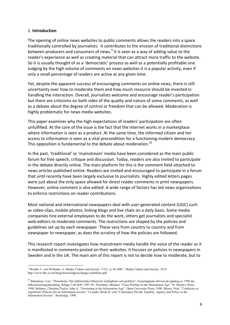#### 1.!**Introduction**

The opening of online news websites to public comments allows the readers into a space traditionally controlled by journalists. It contributes to the erosion of traditional distinctions between producers and consumers of news.<sup>9</sup> It is seen as a way of adding value to the reader's experience as well as creating material that can attract more traffic to the website. So it is usually thought of as a 'democratic' process as well as a potentially profitable one. Judging by the high volume of comments on news websites it is a popular activity, even if only a small percentage of readers are active at any given time.

Yet, despite the apparent success of encouraging comments on online news, there is still uncertainty over how to moderate them and how much resource should be invested in handling the interaction. Overall, journalists welcome and encourage reader's participation but there are criticisms on both sides of the quality and nature of some comments, as well as a debate about the degree of control or freedom that can be allowed. Moderation is highly problematic for news media websites.

This paper examines why the high expectations of readers' participation are often unfulfilled. At the core of the issue is the fact that the Internet works in a marketplace where information is seen as a product. At the same time, the informed citizen and her access to information is seen as a vital precondition for a functioning modern democracy. This opposition is fundamental to the debate about moderation.<sup>10</sup>

In the past, 'traditional' or 'mainstream' media have been considered as the main public forum for free speech, critique and discussion. Today, readers are also invited to participate in the debate directly online. The main platform for this is the comment field attached to news articles published online. Readers are invited and encouraged to participate in a forum that until recently have been largely exclusive to journalists. Highly edited letters pages were just about the only space allowed for direct reader comments in print newspapers. However, online comment is also edited. A wide range of factors has led news organizations to enforce restrictions on reader contributions.

Most national and international newspapers deal with user-generated content (UGC) such as video-clips, mobile photos, linking blogs and live chats on a daily basis. Some media companies hire external employees to do the work, others get journalists and specialist web-editors to moderate comments. The restrictions are shaped by the policies and guidelines set up by each newspaper. These vary from country to country and from newspaper to newspaper, as does the scrutiny of how the policies are followed.

This research report investigates how mainstream media handle the voice of the reader as it is manifested in comments posted on their websites. It focuses on policies in newspapers in Sweden and in the UK. The main aim of this report is not to decide how to moderate, but to

<sup>!!!!!!!!!!!!!!!!!!!!!!!!!!!!!!!!!!!!!!!!!!!!!!!!!!!!!!!!!!!!</sup> <sup>9</sup> Wardle, C. and Williams, A. Media, Culture and Society 'UGC  $@$  the BBC', Media Culture and Society, 2010. http://www.bbc.co.uk/blogs/knowledgeexchange/cardiffone.pdf

<sup>&</sup>lt;sup>10</sup> Ilshammar, Lars. "Demokr@i. Det elektroniska folkstyrets möjligheter och problem". Expertuppsats skriven på uppdrag av 1996 års folkomröstningsutredning. Bilaga 2 till SOU 1997:56., Perelman, Michael. "Class Warfare in the Information Age". St. Martin ́s Press, 1998, Bellamy, Christine/Taylor, John A. "Governing in the Information Age". Open University Press, 1998, Moore, Nick. "Confucius or capitalism? Policies for an information society". I Loader, Brian D. (ed) "Cyberspace Divide. Equality, Agency and Policy in the Information Society". Routledge, 1998.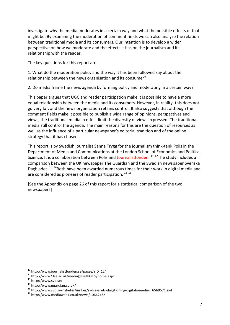investigate why the media moderates in a certain way and what the possible effects of that might be. By examining the moderation of comment fields we can also analyze the relation between traditional media and its consumers. Our intention is to develop a wider perspective on how we moderate and the effects it has on the journalism and its relationship with the reader.

The key questions for this report are:

1. What do the moderation policy and the way it has been followed say about the relationship between the news organisation and its consumer?

2. Do media frame the news agenda by forming policy and moderating in a certain way?

This paper argues that UGC and reader participation make it is possible to have a more equal relationship between the media and its consumers. However, in reality, this does not go very far, and the news organisation retains control. It also suggests that although the comment fields make it possible to publish a wide range of opinions, perspectives and views, the traditional media in effect limit the diversity of views expressed. The traditional media still control the agenda. The main reasons for this are the question of resources as well as the influence of a particular newspaper's editorial tradition and of the online strategy that it has chosen.

This report is by Swedish journalist Sanna Trygg for the journalism think-tank Polis in the Department of Media and Communications at the London School of Economics and Political Science. It is a collaboration between Polis and Journalistfonden.<sup>11 12</sup>The study includes a comparison between the UK newspaper The Guardian and the Swedish newspaper Svenska Dagbladet.  $^{13}$  <sup>14</sup>Both have been awarded numerous times for their work in digital media and are considered as pioneers of reader participation.  $^{15}$   $^{16}$ 

[See the Appendix on page 26 of this report for a statistical comparison of the two newspapers]

<sup>&</sup>lt;sup>11</sup> http://www.journalistfonden.se/pages/?ID=124

<sup>&</sup>lt;sup>12</sup> http://www2.lse.ac.uk/media@lse/POLIS/home.aspx<br><sup>13</sup> http://www.svd.se/<br><sup>14</sup> http://www.guardian.co.uk/<br><sup>15</sup> http://www.svd.se/nyheter/inrikes/svdse-arets-dagstidning-digitala-medier\_6569571.svd<br><sup>16</sup> http://www.media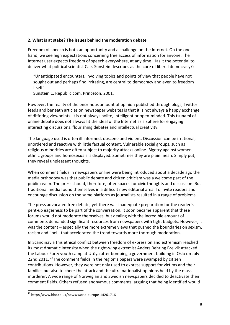#### **2. What is at stake? The issues behind the moderation debate**

Freedom of speech is both an opportunity and a challenge on the Internet. On the one hand, we see high expectations concerning free access of information for anyone. The Internet user expects freedom of speech everywhere, at any time. Has it the potential to deliver what political scientist Cass Sunstein describes as the core of liberal democracy?:

"Unanticipated encounters, involving topics and points of view that people have not sought out and perhaps find irritating, are central to democracy and even to freedom itself"

Sunstein C, Republic.com, Princeton, 2001.

However, the reality of the enormous amount of opinion published through blogs, Twitterfeeds and beneath articles on newspaper websites is that it is not always a happy exchange of differing viewpoints. It is not always polite, intelligent or open-minded. This tsunami of online debate does not always fit the ideal of the Internet as a sphere for engaging interesting discussions, flourishing debates and intellectual creativity.

The language used is often ill informed, obscene and violent. Discussion can be irrational, unordered and reactive with little factual content. Vulnerable social groups, such as religious minorities are often subject to majority attacks online. Bigotry against women, ethnic groups and homosexuals is displayed. Sometimes they are plain mean. Simply put, they reveal unpleasant thoughts.

When comment fields in newspapers online were being introduced about a decade ago the media orthodoxy was that public debate and citizen criticism was a welcome part of the public realm. The press should, therefore, offer spaces for civic thoughts and discussion. But traditional media found themselves in a difficult new editorial area. To invite readers and encourage discussion on the same platform as journalists resulted in a range of problems.

The press advocated free debate, yet there was inadequate preparation for the reader's pent-up eagerness to be part of the conversation. It soon became apparent that these forums would not moderate themselves, but dealing with the incredible amount of comments demanded significant resources from newspapers with tight budgets. However, it was the content – especially the more extreme views that pushed the boundaries on sexism, racism and libel - that accelerated the trend towards more thorough moderation.

In Scandinavia this ethical conflict between freedom of expression and extremism reached its most dramatic intensity when the right-wing extremist Anders Behring Breivik attacked the Labour Party youth camp at Utöya after bombing a government building in Oslo on July 22nd 2011. <sup>17</sup>The comment fields in the region's papers were swamped by citizen contributions. However, they were not only used to express support for victims and their families but also to cheer the attack and the ultra nationalist opinions held by the mass murderer. A wide range of Norwegian and Swedish newspapers decided to deactivate their comment fields. Others refused anonymous comments, arguing that being identified would

 $17$  http://www.bbc.co.uk/news/world-europe-14261716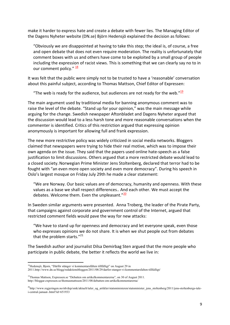make it harder to express hate and create a debate with fewer lies. The Managing Editor of the Dagens Nyheter website (DN.se) Björn Hedensjö explained the decision as follows:

"Obviously we are disappointed at having to take this step; the ideal is, of course, a free and open debate that does not even require moderation. The reality is unfortunately that comment boxes with us and others have come to be exploited by a small group of people including the expression of racist views. This is something that we can clearly say no to in our comment policy."  $\frac{18}{18}$ 

It was felt that the public were simply not to be trusted to have a 'reasonable' conversation about this painful subject, according to Thomas Mattson, Chief Editor of Expressen:

"The web is ready for the audience, but audiences are not ready for the web." $\frac{19}{2}$ 

The main argument used by traditional media for banning anonymous comment was to raise the level of the debate. "Stand up for your opinion," was the main message while arguing for the change. Swedish newspaper Aftonbladet and Dagens Nyheter argued that the discussion would lead to a less harsh tone and more reasonable conversations when the commenter is identified. Critics of this restriction argued that expressing opinion anonymously is important for allowing full and frank expression.

The new more restrictive policy was widely criticized in social media networks. Bloggers claimed that newspapers were trying to hide their real motive, which was to impose their own agenda on the issue. They said that the papers used online hate-speech as a false justification to limit discussions. Others argued that a more restricted debate would lead to a closed society. Norwegian Prime Minister Jens Stoltenberg, declared that terror had to be fought with "an even more open society and even more democracy". During his speech in Oslo's largest mosque on Friday July 29th he made a clear statement:

"We are Norway. Our basic values are of democracy, humanity and openness. With these values as a base we shall respect differences.. And each other. We must accept the debates. Welcome them. Even the unpleasant." $20$ 

In Sweden similar arguments were presented. Anna Troberg, the leader of the Pirate Party, that campaigns against corporate and government control of the Internet, argued that restricted comment fields would pave the way for new attacks:

"We have to stand up for openness and democracy and let everyone speak, even those who expresses opinions we do not share. It is when we shut people out from debates that the problem starts. $"^{21}$ 

The Swedish author and journalist Dilsa Demirbag Sten argued that the more people who participate in public debate, the better it reflects the world we live in:

<sup>18</sup>Hedensjö, Bjorn, "Därför stänger vi kommentarsfälten tillfälligt" on August 29 in

<sup>2011.</sup>http://www.dn.se/blogg/redaktionsbloggen/2011/08/29/darfor-stanger-vi-kommentarsfalten-tillfalligt/

<sup>&</sup>lt;sup>19</sup>Thomas Mattson, Expressen.se "Debatten om artikelkommentarerna", on 30 of August 2011. http://bloggar.expressen.se/thomasmattsson/2011/08/debatten-om-artikelkommentarerna/

<sup>20</sup>http://www.regjeringen.no/nb/dep/smk/aktuelt/taler\_og\_artikler/statsministeren/statsminister\_jens\_stoltenberg/2011/jens-stoltenbergs-talei-central-jamaat-.html?id=651933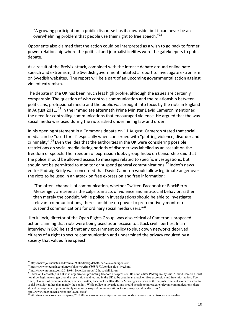"A growing participation in public discourse has its downside, but it can never be an overwhelming problem that people use their right to free speech."22

Opponents also claimed that the action could be interpreted as a wish to go back to former power relationship where the political and journalistic elites were the gatekeepers to public debate.

As a result of the Breivik attack, combined with the intense debate around online hatespeech and extremism, the Swedish government initiated a report to investigate extremism on Swedish websites. The report will be a part of an upcoming governmental action against violent!extremism.

The debate in the UK has been much less high profile, although the issues are certainly comparable. The question of who controls communication and the relationship between politicians, professional media and the public was brought into focus by the riots in England in August 2011.  $^{23}$  In the immediate aftermath Prime Minister David Cameron mentioned the need for controlling communications that encouraged violence. He argued that the way social media was used during the riots risked undermining law and order.

In his opening statement in a Commons debate on 11 August, Cameron stated that social media can be "used for ill" especially when concerned with "plotting violence, disorder and criminality".<sup>24</sup> Even the idea that the authorities in the UK were considering possible restrictions on social media during periods of disorder was labelled as an assault on the freedom of speech. The freedom of expression lobby group Index on Censorship said that the police should be allowed access to messages related to specific investigations, but should not be permitted to monitor or suspend general communications.<sup>25</sup> Index's news editor Padraig Reidy was concerned that David Cameron would allow legitimate anger over the riots to be used in an attack on free expression and free information:

"Too often, channels of communication, whether Twitter, Facebook or BlackBerry Messenger, are seen as the culprits in acts of violence and anti-social behavior, rather than merely the conduit. While police in investigations should be able to investigate relevant communications, there should be no power to pre-emotively monitor or suspend communications for ordinary social media users."<sup>26</sup>

Jim Killock, director of the Open Rights Group, was also critical of Cameron's proposed action claiming that riots were being used as an excuse to attack civil liberties. In an interview in BBC he said that any government policy to shut down networks deprived citizens of a right to secure communication and undermined the privacy required by a society that valued free speech:

<sup>&</sup>lt;sup>22</sup> http://www.journalisten.se/kronika/28783/trakig-debatt-utan-elaka-antagonister

<sup>23</sup> http://www.telegraph.co.uk/news/uknews/crime/8687177/London-riots-live.html

<sup>&</sup>lt;sup>24</sup> http://www.nytimes.com/2011/08/12/world/europe/12iht-social12.html

<sup>&</sup>lt;sup>25</sup> Index on Censorship is a British organization promoting freedom of expression. Its news editor Padraig Reidy said: "David Cameron must not allow legitimate anger over the recent riots and looting in the UK to be used in an attack on free expression and free information. Too often, channels of communication, whether Twitter, Facebook or BlackBerry Messenger are seen as the culprits in acts of violence and antisocial behavior, rather than merely the conduit. While police in investigations should be able to investigate relevant communications, there should be no power to pre-emptively monitor or suspend communications for ordinary social media users."

http://www.indexoncensorship.org/tag/uk-riots/<br><sup>26</sup> http://www.indexoncensorship.org/2011/08/index-on-censorship-reaction-to-david-cameron-comments-on-social-media/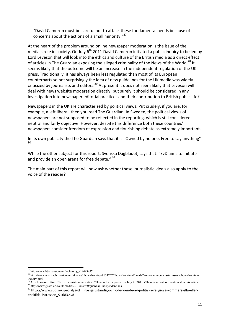"David Cameron must be careful not to attack these fundamental needs because of concerns about the actions of a small minority. $"^{27}$ 

At the heart of the problem around online newspaper moderation is the issue of the media's role in society. On July  $6<sup>th</sup>$  2011 David Cameron initiated a public inquiry to be led by Lord Leveson that will look into the ethics and culture of the British media as a direct effect of articles in The Guardian exposing the alleged criminality of the News of the World.<sup>28</sup> It seems likely that the outcome will be an increase in the independent regulation of the UK press. Traditionally, it has always been less regulated than most of its European counterparts so not surprisingly the idea of new guidelines for the UK media was widely criticized by journalists and editors.<sup>29</sup> At present it does not seem likely that Leveson will deal with news website moderation directly, but surely it should be considered in any investigation into newspaper editorial practices and their contribution to British public life?

Newspapers in the UK are characterized by political views. Put crudely, if you are, for example, a left liberal, then you read The Guardian. In Sweden, the political views of newspapers are not supposed to be reflected in the reporting, which is still considered neutral and fairly objective. However, despite this difference both these countries' newspapers consider freedom of expression and flourishing debate as extremely important.

In its own publicity the The Guardian says that it is "Owned by no one. Free to say anything" 30

While the other subject for this report, Svenska Dagbladet, says that: "SvD aims to initiate and provide an open arena for free debate."  $31$ 

The main part of this report will now ask whether these journalistic ideals also apply to the voice of the reader?

<sup>!!!!!!!!!!!!!!!!!!!!!!!!!!!!!!!!!!!!!!!!!!!!!!!!!!!!!!!!!!!!</sup> <sup>27</sup> http://www.bbc.co.uk/news/technology-14493497

<sup>&</sup>lt;sup>28</sup> http://www.telegraph.co.uk/news/uknews/phone-hacking/8634757/Phone-hacking-David-Cameron-announces-terms-of-phone-hackinginquiry.html<br><sup>29</sup> Article sourced from The Economist online entitled How to fix the press" on July 21 2011. (There is no author mentioned in this article.)

<sup>&</sup>lt;sup>30</sup>http://www.guardian.co.uk/media/2010/mar/30/guardian-independent-ads<br><sup>31</sup>http://www.svd.se/special/svd\_info/sjalvstandig-och-oberoende-av-politiska-religiosa-kommersiella-eller-

enskilda-intressen\_91683.svd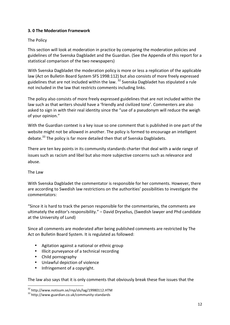# **3. 0 The Moderation Framework**

# The Policy

This section will look at moderation in practice by comparing the moderation policies and guidelines of the Svenska Dagbladet and the Guardian. (See the Appendix of this report for a statistical comparison of the two newspapers)

With Svenska Dagbladet the moderation policy is more or less a replication of the applicable law (Act on Bulletin Board System SFS 1998:112) but also consists of more freely expressed guidelines that are not included within the law.  $32$  Svenska Dagbladet has stipulated a rule not included in the law that restricts comments including links.

The policy also consists of more freely expressed guidelines that are not included within the law such as that writers should have a 'friendly and civilized tone'. Commenters are also asked to sign in with their real identity since the "use of a pseudonym will reduce the weigh of your opinion."

With the Guardian context is a key issue so one comment that is published in one part of the website might not be allowed in another. The policy is formed to encourage an intelligent debate.<sup>33</sup> The policy is far more detailed then that of Svenska Dagbladets.

There are ten key points in its community standards charter that deal with a wide range of issues such as racism and libel but also more subjective concerns such as relevance and abuse.

The Law

With Svenska Dagbladet the commentator is responsible for her comments. However, there are according to Swedish law restrictions on the authorities' possibilities to investigate the commentators:

"Since it is hard to track the person responsible for the commentaries, the comments are ultimately the editor's responsibility." – David Dryselius, (Swedish lawyer and Phd candidate at the University of Lund)

Since all comments are moderated after being published comments are restricted by The Act on Bulletin Board System. It is regulated as followed:

- Agitation against a national or ethnic group
- Illicit purveyance of a technical recording
- Child pornography

!!!!!!!!!!!!!!!!!!!!!!!!!!!!!!!!!!!!!!!!!!!!!!!!!!!!!!!!!!!!

- Unlawful depiction of violence
- Infringement of a copyright.

The law also says that it is only comments that obviously break these five issues that the

 $^{32}$  http://www.notisum.se/rnp/sls/lag/19980112.HTM<br> $^{33}$  http://www.guardian.co.uk/community-standards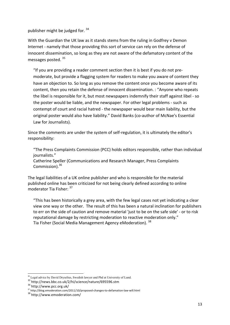publisher might be judged for.  $34$ 

With the Guardian the UK law as it stands stems from the ruling in Godfrey v Demon Internet - namely that those providing this sort of service can rely on the defense of innocent dissemination, so long as they are not aware of the defamatory content of the messages posted.  $35$ 

"If you are providing a reader comment section then it is best if you do not premoderate, but provide a flagging system for readers to make you aware of content they have an objection to. So long as you remove the content once you become aware of its content, then you retain the defense of innocent dissemination. : "Anyone who repeats the libel is responsible for it, but most newspapers indemnify their staff against libel - so the poster would be liable, and the newspaper. For other legal problems - such as contempt of court and racial hatred - the newspaper would bear main liability, but the original poster would also have liability." David Banks (co-author of McNae's Essential Law for Journalists).

Since the comments are under the system of self-regulation, it is ultimately the editor's responsibility:

"The Press Complaints Commission (PCC) holds editors responsible, rather than individual journalists."

Catherine Speller (Communications and Research Manager, Press Complaints Commission).<sup>36</sup>

The legal liabilities of a UK online publisher and who is responsible for the material published online has been criticized for not being clearly defined according to online moderator Tia Fisher:  $37$ 

"This has been historically a grey area, with the few legal cases not yet indicating a clear view one way or the other. The result of this has been a natural inclination for publishers to err on the side of caution and remove material 'just to be on the safe side' - or to risk reputational damage by restricting moderation to reactive moderation only." Tia Fisher (Social Media Management Agency eModeration). 38

<sup>!!!!!!!!!!!!!!!!!!!!!!!!!!!!!!!!!!!!!!!!!!!!!!!!!!!!!!!!!!!!</sup> <sup>34</sup> Legal advice by David Dryselius, Swedish lawyer and Phd at University of Lund.

<sup>35</sup> http://news.bbc.co.uk/2/hi/science/nature/695596.stm <sup>36</sup> http://www.pcc.org.uk/

<sup>37&</sup>lt;br>37 http://blog.emoderation.com/2011/10/proposed-changes-to-defamation-law-will.html<br>38 http://www.emoderation.com/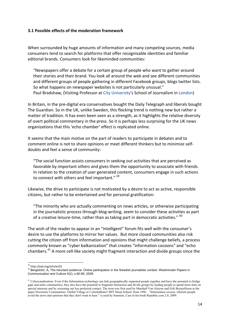#### **3.1 Possible effects of the moderation framework**

When surrounded by huge amounts of information and many competing sources, media consumers tend to search for platforms that offer recognisable identities and familiar editorial brands. Consumers look for likeminded communities:

"Newspapers offer a debate for a certain group of people who want to gather around their stories and their brand. You look all around the web and see different communities and different groups of people gathering in different Facebook groups, blogs twitter lists. So what happens on newspaper websites is not particularly unusual." Paul Bradshaw, (Visiting Professor at City University's School of Journalism in London)

In Britain, in the pre-digital era conservatives bought the Daily Telegraph and liberals bought The Guardian. So in the UK, unlike Sweden, this flocking trend is nothing new but rather a matter of tradition. It has even been seen as a strength, as it highlights the relative diversity of overt political commentary in the press. So it is perhaps less surprising for the UK news organizations that this 'echo chamber' effect is replicated online.

It seems that the main motive on the part of readers to participate in debates and to comment online is not to share opinions or meet different thinkers but to minimize selfdoubts and feel a sense of community:

"The social function assists consumers in seeking out activities that are perceived as favorable by important others and gives them the opportunity to associate with friends. In relation to the creation of user generated content, consumers engage in such actions to connect with others and feel important." 39

Likewise, the drive to participate is not motivated by a desire to act as active, responsible citizens, but rather to be entertained and for personal gratification:

"The minority who are actually commenting on news articles, or otherwise participating in the journalistic process through blog-writing, seem to consider these activities as part of a creative leisure-time, rather than as taking part in democratic activities." <sup>40</sup>

The wish of the reader to appear in an "intelligent" forum fits well with the consumer's desire to use the platforms to mirror her values. But more closed communities also risk cutting the citizen off from information and opinions that might challenge beliefs, a process commonly known as "cyber balkanization" that creates "information cocoons" and "echo chambers.<sup>41</sup> A more cell-like society might fragment interaction and divide groups since the

<sup>&</sup>lt;sup>39</sup> http://jiad.org/article101

<sup>40</sup> Bergström, A, The reluctant audience: Online participation in the Swedish journalistic context. Westminster Papers in Communication and Culture 5(2), s.60-80, 2008.

<sup>&</sup>lt;sup>41</sup> Cybercanalization: Even if the Information technology can link geographically separated people together and have the potential to bridge gaps and unite communities, they also have the potential to fragment interaction and divide groups by leading people to spend more time on special interests and by screening out less preferred contact. The term was first used by Marshall Van Alstyne and Erik Brynjolfsson in the paper Electronic Communities: Global Village or Cyberbalkans? MIT Sloan School, from 1996. "Information cocoon, wherein people avoid the news and opinions that they don't want to hear." is used by Sunstein, Cass in his book Republic.com 2.0, 2009.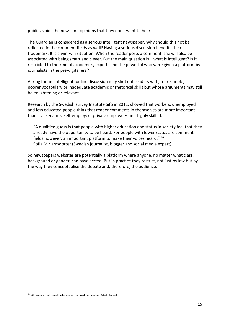public avoids the news and opinions that they don't want to hear.

The Guardian is considered as a serious intelligent newspaper. Why should this not be reflected in the comment fields as well? Having a serious discussion benefits their trademark. It is a win-win situation. When the reader posts a comment, she will also be associated with being smart and clever. But the main question is – what is intelligent? Is it restricted to the kind of academics, experts and the powerful who were given a platform by journalists in the pre-digital era?

Asking for an 'intelligent' online discussion may shut out readers with, for example, a poorer vocabulary or inadequate academic or rhetorical skills but whose arguments may still be enlightening or relevant.

Research by the Swedish survey Institute Sifo in 2011, showed that workers, unemployed and less educated people think that reader comments in themselves are more important than civil servants, self-employed, private employees and highly skilled:

"A qualified guess is that people with higher education and status in society feel that they already have the opportunity to be heard. For people with lower status are comment fields however, an important platform to make their voices heard."  $42$ Sofia Mirjamsdotter (Swedish journalist, blogger and social media expert)

So newspapers websites are potentially a platform where anyone, no matter what class, background or gender, can have access. But in practice they restrict, not just by law but by the way they conceptualise the debate and, therefore, the audience.

<sup>&</sup>lt;sup>42</sup> http://www.svd.se/kultur/lasare-vill-kunna-kommentera\_6444146.svd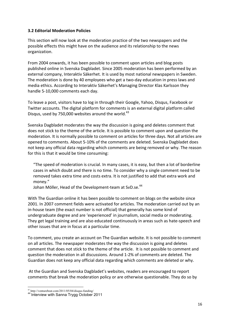#### **3.2 Editorial Moderation Policies**

This section will now look at the moderation practice of the two newspapers and the possible effects this might have on the audience and its relationship to the news organization.

From 2004 onwards, it has been possible to comment upon articles and blog posts published online in Svenska Dagbladet. Since 2005 moderation has been performed by an external company, Interaktiv Säkerhet. It is used by most national newspapers in Sweden. The moderation is done by 40 employees who get a two-day education in press laws and media ethics. According to Interaktiv Säkerhet's Managing Director Klas Karlsson they handle 5-10,000 comments each day.

To leave a post, visitors have to log in through their Google, Yahoo, Disqus, Facebook or Twitter accounts. The digital platform for comments is an external digital platform called Disqus, used by 750,000 websites around the world.<sup>43</sup>

Svenska Dagbladet moderates the way the discussion is going and deletes comment that does not stick to the theme of the article. It is possible to comment upon and question the moderation. It is normally possible to comment on articles for three days. Not all articles are opened to comments. About 5-10% of the comments are deleted. Svenska Dagbladet does not keep any official data regarding which comments are being removed or why. The reason for this is that it would be time consuming:

"The speed of moderation is crucial. In many cases, it is easy, but then a lot of borderline cases in which doubt and there is no time. To consider why a single comment need to be removed takes extra time and costs extra. It is not justified to add that extra work and money."

Johan Möller, Head of the Development-team at SvD.se.<sup>44</sup>

With The Guardian online it has been possible to comment on blogs on the website since 2001. In 2007 comment fields were activated for articles. The moderation carried out by an in-house team (the exact number is not official) that generally has some kind of undergraduate degree and are 'experienced' in journalism, social media or moderating. They get legal training and are also educated continuously in areas such as hate-speech and other issues that are in focus at a particular time.

To comment, you create an account on The Guardian website. It is not possible to comment on all articles. The newspaper moderates the way the discussion is going and deletes comment that does not stick to the theme of the article. It is not possible to comment and question the moderation in all discussions. Around 1-2% of comments are deleted. The Guardian does not keep any official data regarding which comments are deleted or why.

At the Guardian and Svenska Dagbladet's websites, readers are encouraged to report comments that break the moderation policy or are otherwise questionable. They do so by

<sup>43</sup> http://venturebeat.com/2011/05/04/disqus-funding/ <sup>44</sup> Interview with Sanna Trygg October 2011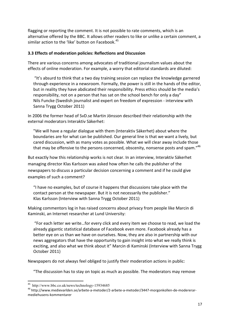flagging or reporting the comment. It is not possible to rate comments, which is an alternative offered by the BBC. It allows other readers to like or unlike a certain comment, a similar action to the 'like' button on Facebook.<sup>45</sup>

#### **3.3 Effects of moderation policies: Reflections and Discussion**

There are various concerns among advocates of traditional journalism values about the effects of online moderation. For example, a worry that editorial standards are diluted:

"It's absurd to think that a two day training session can replace the knowledge garnered through experience in a newsroom. Formally, the power is still in the hands of the editor, but in reality they have abdicated their responsibility. Press ethics should be the media's responsibility, not on a person that has sat on the school bench for only a day" Nils Funcke (Swedish journalist and expert on freedom of expression - interview with Sanna Trygg October 2011)

In 2006 the former head of SvD.se Martin Jönsson described their relationship with the external moderators Interaktiv Säkerhet:

"We will have a regular dialogue with them (Interaktiv Säkerhet) about where the boundaries are for what can be published. Our general line is that we want a lively, but cared discussion, with as many votes as possible. What we will clear away include those that may be offensive to the persons concerned, obscenity, nonsense posts and spam." $46$ 

But exactly how this relationship works is not clear. In an interview, Interaktiv Säkerhet managing director Klas Karlsson was asked how often he calls the publisher of the newspapers to discuss a particular decision concerning a comment and if he could give examples of such a comment?

"I have no examples, but of course it happens that discussions take place with the contact person at the newspaper. But it is not necessarily the publisher." Klas Karlsson (Interview with Sanna Trygg October 2011)

Making commentors log in has raised concerns about privacy from people like Marcin di Kaminski, an Internet researcher at Lund University:

"For each letter we write...for every click and every item we choose to read, we load the already gigantic statistical database of Facebook even more. Facebook already has a better eye on us than we have on ourselves. Now, they are also in partnership with our news aggregators that have the opportunity to gain insight into what we really think is exciting, and also what we think about it" Marcin di Kaminski (Interview with Sanna Trygg October 2011)

Newspapers do not always feel obliged to justify their moderation actions in public:

"The discussion has to stay on topic as much as possible. The moderators may remove

<sup>&</sup>lt;sup>45</sup> http://www.bbc.co.uk/news/technology-15934685

<sup>&</sup>lt;sup>46</sup> http://www.medievarlden.se/arbete-a-metoder/2-arbete-a-metoder/3447-morgonkollen-de-modererarmediehusens-kommentarer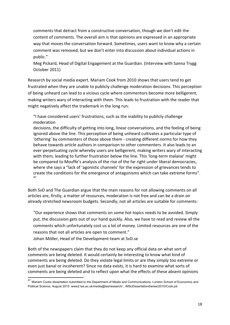comments that detract from a constructive conversation, though we don't edit the content of comments. The overall aim is that opinions are expressed in an appropriate way that moves the conversation forward. Sometimes, users want to know why a certain comment was removed, but we don't enter into discussion about individual actions in public."

Meg Pickard, Head of Digital Engagement at the Guardian. (Interview with Sanna Trygg October 2011)

Research by social media expert, Mariam Cook from 2010 shows that users tend to get frustrated when they are unable to publicly challenge moderation decisions. This perception of being unheard can lead to a vicious cycle where commentors become more belligerent, making writers wary of interacting with them. This leads to frustration with the reader that might negatively affect the trademark in the long run:

"I have considered users' frustrations, such as the inability to publicly challenge moderation

decisions, the difficulty of getting into long, linear conversations, and the feeling of being ignored above the line. This perception of being unheard cultivates a particular type of 'othering' by commenters of those above them - creating different norms for how they behave towards article authors in comparison to other commenters. It also leads to an ever-perpetuating cycle whereby users are belligerent, making writers wary of interacting with them, leading to further frustration below the line. This 'long-term malaise' might be compared to Mouffe's analysis of the rise of the far right under liberal democracies, where she says a "lack of 'agonistic channels' for the expression of grievances tends to create the conditions for the emergence of antagonisms which can take extreme forms". 47

Both SvD and The Guardian argue that the main reasons for not allowing comments on all articles are, firstly, a matter of resources, moderation is not free and can be a drain on already stretched newsroom budgets. Secondly, not all articles are suitable for comments:

"Our experience shows that comments on some hot topics needs to be avoided. Simply put, the discussion gets out of our hand quickly. Also, we have to read and review all the comments which unfortunately cost us a lot of money. Limited resources are one of the reasons that not all articles are open to comment."

Johan Möller, Head of the Development-team at SvD.se

Both of the newspapers claim that they do not keep any official data on what sort of comments are being deleted. It would certainly be interesting to know what kind of comments are being deleted. Do they violate legal limits or are they simply too extreme or even just banal or incoherent? Since no data exists, it is hard to examine what sorts of comments are being deleted and to reflect upon what the effects of these absent opinions

<sup>&</sup>lt;sup>47</sup> Mariam Cooks dissertation submitted to the Department of Media and Communications, London School of Economics and Political Science, August 2010. www2.lse.ac.uk/media@lse/research/.../MScDissertationSeries/2010/Cook.pd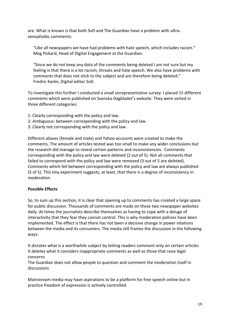are. What is known is that both SvD and The Guardian have a problem with ultraxenophobic comments:

"Like all newspapers we have had problems with hate speech, which includes racism." Meg Pickard, Head of Digital Engagement at the Guardian.

"Since we do not keep any data of the comments being deleted I am not sure but my feeling is that there is a lot racism, threats and hate speech. We also have problems with comments that does not stick to the subject and are therefore being deleted." Fredric Karén, Digital editor SvD.

To investigate this further I conducted a small unrepresentative survey. I placed 15 different comments which were published on Svenska Dagbladet's website. They were sorted in three different categories:

- 1: Clearly corresponding with the policy and law.
- 2: Ambiguous: between corresponding with the policy and law.
- 3: Clearly not corresponding with the policy and law.

Different aliases (female and male) and Yahoo-accounts were created to make the comments. The amount of articles tested was too small to make any wider conclusions but the research did manage to reveal certain patterns and inconsistencies. Comments corresponding with the policy and law were deleted (2 out of 5). Not all comments that failed to correspond with the policy and law were removed (3 out of 5 are deleted). Comments which fell between corresponding with the policy and law are always published (5 of 5). This tiny experiment suggests, at least, that there is a degree of inconsistency in moderation.

# **Possible#Effects**

So, to sum up this section, it is clear that opening up to comments has created a large space for public discussion. Thousands of comments are made on these two newspaper websites daily. At times the journalists describe themselves as having to cope with a deluge of interactivity that they fear they cannot control. This is why moderation policies have been implemented. The effect is that there has not been a decisive change in power relations between the media and its consumers. The media still frames the discussion in the following ways:

It dictates what is a worthwhile subject by letting readers comment only on certain articles It deletes what it considers inappropriate comments as well as those that raise legal concerns

The Guardian does not allow people to question and comment the moderation itself in discussions

Mainstream media may have aspirations to be a platform for free speech online but in practice freedom of expression is actively controlled.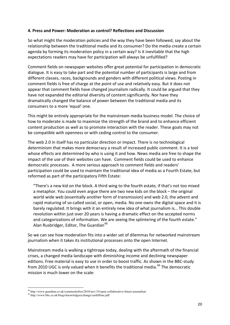#### **4. Press and Power: Moderation as control? Reflections and Discussion**

So what might the moderation policies and the way they have been followed, say about the relationship between the traditional media and its consumer? Do the media create a certain agenda by forming its moderation policy in a certain way? Is it inevitable that the high expectations readers may have for participation will always be unfulfilled?

Comment fields on newspaper websites offer great potential for participation in democratic dialogue. It is easy to take part and the potential number of participants is large and from different classes, races, backgrounds and genders with different political views. Posting in comment fields is free of charge at the point of use and relatively easy. But it does not appear that comment fields have changed journalism radically. It could be argued that they have not expanded the editorial diversity of content significantly. Nor have they dramatically changed the balance of power between the traditional media and its consumers to a more 'equal' one.

This might be entirely appropriate for the mainstream media business model. The choice of how to moderate is made to maximize the strength of the brand and to enhance efficient content production as well as to promote interaction with the reader. These goals may not be compatible with openness or with ceding control to the consumer.

The web 2.0 in itself has no particular direction or impact. There is no technological determinism that makes more democracy a result of increased public comment. It is a tool whose effects are determined by who is using it and how. News media are free to shape the impact of the use of their websites can have. Comment fields could be used to enhance democratic processes. A more serious approach to comment fields and readers' participation could be used to maintain the traditional idea of media as a Fourth Estate, but reformed as part of the participatory Fifth Estate:

"There's a new kid on the block. A third wing to the fourth estate, if that's not too mixed a metaphor. You could even argue there are two new kids on the block – the original world wide web (essentially another form of transmission) and web 2.0, the advent and rapid maturing of so-called social, or open, media. No one owns the digital space and it is barely regulated. It brings with it an entirely new idea of what journalism is... This double revolution within just over 20 years is having a dramatic effect on the accepted norms and categorizations of information. We are seeing the splintering of the fourth estate." Alan Rusbridger, Editor, The Guardian<sup>48</sup>

So we can see how moderation fits into a wider set of dilemmas for networked mainstream journalism when it takes its institutional processes onto the open Internet.

Mainstream media is walking a tightrope today, dealing with the aftermath of the financial crises, a changed media landscape with diminishing income and declining newspaper editions. Free material is easy to use in order to boost traffic. As shown in the BBC-study from 2010 UGC is only valued when it benefits the traditional media.<sup>49</sup> The democratic mission is much lower on the scale:

<sup>48</sup> http://www.guardian.co.uk/commentisfree/2010/nov/19/open-collaborative-future-journalism

<sup>49</sup> http://www.bbc.co.uk/blogs/knowledgeexchange/cardiffone.pdf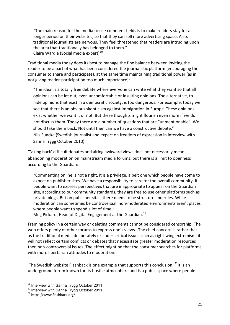"The main reason for the media to use comment fields is to make readers stay for a longer period on their websites, so that they can sell more advertising space. Also, traditional journalists are nervous. They feel threatened that readers are intruding upon the area that traditionally has belonged to them." Claire Wardle (Social media expert)<sup>50</sup>

Traditional media today does its best to manage the fine balance between inviting the reader to be a part of what has been considered the journalistic platform (encouraging the consumer to share and participate), at the same time maintaining traditional power (as in, not giving reader-participation too much importance):

"The ideal is a totally free debate where everyone can write what they want so that all opinions can be let out, even uncomfortable or insulting opinions. The alternative, to hide opinions that exist in a democratic society, is too dangerous. For example, today we see that there is an obvious skepticism against immigration in Europe. These opinions exist whether we want it or not. But these thoughts might flourish even more if we do not discuss them. Today there are a number of questions that are "unmentionable". We should take them back. Not until then can we have a constructive debate." Nils Funcke (Swedish journalist and expert on freedom of expression in interview with Sanna Trygg October 2010)

'Taking back' difficult debates and airing awkward views does not necessarily mean abandoning moderation on mainstream media forums, but there is a limit to openness according to the Guardian:

"Commenting online is not a right, it is a privilege, albeit one which people have come to expect on publisher sites. We have a responsibility to care for the overall community. If people want to express perspectives that are inappropriate to appear on the Guardian site, according to our community standards, they are free to use other platforms such as private blogs. But on publisher sites, there needs to be structure and rules. While moderation can sometimes be controversial, non-moderated environments aren't places where people want to spend a lot of time."

Meg Pickard, Head of Digital Engagement at the Guardian.<sup>51</sup>

Framing policy in a certain way or deleting comments cannot be considered censorship. The web offers plenty of other forums to express one's views. The chief concern is rather that as the traditional media deliberately excludes critical issues such as right-wing extremism, it will not reflect certain conflicts or debates that necessitate greater moderation resources then non-controversial issues. The effect might be that the consumer searches for platforms with more libertarian attitudes to moderation.

The Swedish website Flashback is one example that supports this conclusion.  $52$ It is an underground forum known for its hostile atmosphere and is a public space where people

<sup>!!!!!!!!!!!!!!!!!!!!!!!!!!!!!!!!!!!!!!!!!!!!!!!!!!!!!!!!!!!!</sup> <sup>50</sup> Interview with Sanna Trygg October 2011

<sup>&</sup>lt;sup>51</sup> Interview with Sanna Trygg October 2011

<sup>52</sup> https://www.flashback.org/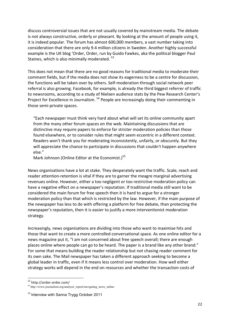discuss controversial issues that are not usually covered by mainstream media. The debate is not always constructive, orderly or pleasant. By looking at the amount of people using it, it is indeed popular. The forum has almost 600,000 members, a vast number taking into consideration that there are only 9.4 million citizens in Sweden. Another highly successful example is the UK blog 'Order, Order, run by Guido Fawkes, aka the political blogger Paul Staines, which is also minimally moderated.  $53$ 

This does not mean that there are no good reasons for traditional media to moderate their comment fields, but if the media does not show its eagerness to be a centre for discussion, the functions will be taken over by others. Self-moderation through social network peer referral is also growing. Facebook, for example, is already the third biggest referrer of traffic to newsrooms, according to a study of Nielsen audience stats by the Pew Research Center's Project for Excellence in Journalism. <sup>54</sup> People are increasingly doing their commenting in those semi-private spaces.

"Each newspaper must think very hard about what will set its online community apart from the many other forum spaces on the web. Maintaining discussions that are distinctive may require papers to enforce far stricter moderation policies than those found elsewhere, or to consider rules that might seem eccentric in a different context. Readers won't thank you for moderating inconsistently, unfairly, or obscurely. But they will appreciate the chance to participate in discussions that couldn't happen anywhere else."

Mark Johnson (Online Editor at the Economist.)<sup>55</sup>

News organisations have a lot at stake. They desperately want the traffic. Scale, reach and reader attention-retention is vital if they are to garner the meagre marginal advertising revenues online. However, either a too negligent or too restrictive moderation policy can have a negative effect on a newspaper's reputation. If traditional media still want to be considered the main forum for free speech then it is hard to argue for a stronger moderation policy than that which is restricted by the law. However, if the main purpose of the newspaper has less to do with offering a platform for free debate, than protecting the newspaper's reputation, then it is easier to justify a more interventionist moderation strategy.

Increasingly, news organisations are dividing into those who want to maximise hits and those that want to create a more controlled conversational space. As one online editor for a news magazine put it, "I am not concerned about free speech overall; there are enough places online where people can go to be heard. The paper is a brand like any other brand." For some that means building the reader relationship but not chasing reader comment for its own sake. The Mail newspaper has taken a different approach seeking to become a global leader in traffic, even if it means less control over moderation. How well either strategy works will depend in the end on resources and whether the transaction costs of

<sup>53</sup> http://order-order.com/

<sup>54</sup> http://www.journalism.org/analysis\_report/navigating\_news\_online

<sup>&</sup>lt;sup>55</sup> Interview with Sanna Trygg October 2011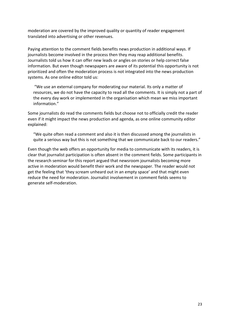moderation are covered by the improved quality or quantity of reader engagement translated into advertising or other revenues.

Paying attention to the comment fields benefits news production in additional ways. If journalists become involved in the process then they may reap additional benefits. Journalists told us how it can offer new leads or angles on stories or help correct false information. But even though newspapers are aware of its potential this opportunity is not prioritized and often the moderation process is not integrated into the news production systems. As one online editor told us:

"We use an external company for moderating our material. Its only a matter of resources, we do not have the capacity to read all the comments. It is simply not a part of the every day work or implemented in the organisation which mean we miss important information."

Some journalists do read the comments fields but choose not to officially credit the reader even if it might impact the news production and agenda, as one online community editor explained:

"We quite often read a comment and also it is then discussed among the journalists in quite a serious way but this is not something that we communicate back to our readers."

Even though the web offers an opportunity for media to communicate with its readers, it is clear that journalist participation is often absent in the comment fields. Some participants in the research seminar for this report argued that newsroom journalists becoming more active in moderation would benefit their work and the newspaper. The reader would not get the feeling that 'they scream unheard out in an empty space' and that might even reduce the need for moderation. Journalist involvement in comment fields seems to generate self-moderation.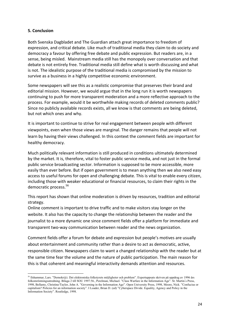#### **5. Conclusion**

Both Svenska Dagbladet and The Guardian attach great importance to freedom of expression, and critical debate. Like much of traditional media they claim to do society and democracy a favour by offering free debate and public expression. But readers are, in a sense, being misled. Mainstream media still has the monopoly over conversation and that debate is not entirely free. Traditional media still define what is worth discussing and what is not. The idealistic purpose of the traditional media is compromised by the mission to survive as a business in a highly competitive economic environment.

Some newspapers will see this as a realistic compromise that preserves their brand and editorial mission. However, we would argue that in the long run it is worth newspapers continuing to push for more transparent moderation and a more reflective approach to the process. For example, would it be worthwhile making records of deleted comments public? Since no publicly available records exists, all we know is that comments are being deleted, but not which ones and why.

It is important to continue to strive for real engagement between people with different viewpoints, even when those views are marginal. The danger remains that people will not learn by having their views challenged. In this context the comment fields are important for healthy democracy.

Much politically relevant information is still produced in conditions ultimately determined by the market. It is, therefore, vital to foster public service media, and not just in the formal public service broadcasting sector. Information is supposed to be more accessible, more easily than ever before. But if open government is to mean anything then we also need easy access to useful forums for open and challenging debate. This is vital to enable every citizen, including those with weaker educational or financial resources, to claim their rights in the democratic process.<sup>56</sup>

This report has shown that online moderation is driven by resources, tradition and editorial strategy.

Online comment is important to drive traffic and to make visitors stay longer on the website. It also has the capacity to change the relationship between the reader and the journalist to a more dynamic one since comment fields offer a platform for immediate and transparent two-way communication between reader and the news organization.

Comment fields offer a forum for debate and expression but people's motives are usually about entertainment and community rather than a desire to act as democratic, active, responsible citizen. Newspapers claim to want a changed relationship with the reader but at the same time fear the volume and the nature of public participation. The main reason for this is that coherent and meaningful interactivity demands attention and resources.

<sup>56</sup> Ilshammar, Lars. "Demokr@i. Det elektroniska folkstyrets möjligheter och problem". Expertuppsats skriven på uppdrag av 1996 års folkomröstningsutredning. Bilaga 2 till SOU 1997:56., Perelman, Michael. "Class Warfare in the Information Age". St. Martin ́s Press, 1998, Bellamy, Christine/Taylor, John A. "Governing in the Information Age". Open University Press, 1998, Moore, Nick. "Confucius or capitalism? Policies for an information society". I Loader, Brian D. (ed) "Cyberspace Divide. Equality, Agency and Policy in the Information Society". Routledge, 1998.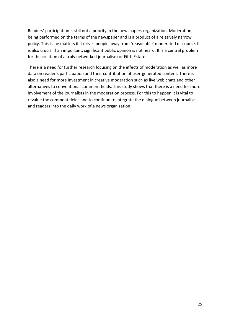Readers' participation is still not a priority in the newspapers organization. Moderation is being performed on the terms of the newspaper and is a product of a relatively narrow policy. This issue matters if it drives people away from 'reasonable' moderated discourse. It is also crucial if an important, significant public opinion is not heard. It is a central problem for the creation of a truly networked journalism or Fifth Estate.

There is a need for further research focusing on the effects of moderation as well as more data on reader's participation and their contribution of user-generated content. There is also a need for more investment in creative moderation such as live web chats and other alternatives to conventional comment fields. This study shows that there is a need for more involvement of the journalists in the moderation process. For this to happen it is vital to revalue the comment fields and to continue to integrate the dialogue between journalists and readers into the daily work of a news organization.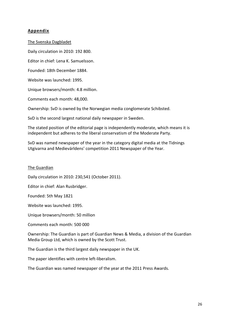# **Appendix**

The Svenska Dagbladet Daily circulation in 2010: 192 800. Editor in chief: Lena K. Samuelsson. Founded: 18th December 1884. Website was launched: 1995. Unique browsers/month: 4.8 million. Comments each month: 48,000. Ownership: SvD is owned by the Norwegian media conglomerate Schibsted. SvD is the second largest national daily newspaper in Sweden.

The stated position of the editorial page is independently moderate, which means it is independent but adheres to the liberal conservatism of the Moderate Party.

SvD was named newspaper of the year in the category digital media at the Tidnings Utgivarna and Medievärldens' competition 2011 Newspaper of the Year.

#### The Guardian

Daily circulation in 2010: 230,541 (October 2011).

Editor in chief: Alan Rusbridger.

Founded: 5th May 1821

Website was launched: 1995.

Unique browsers/month: 50 million

Comments each month: 500 000

Ownership: The Guardian is part of Guardian News & Media, a division of the Guardian Media Group Ltd, which is owned by the Scott Trust.

The Guardian is the third largest daily newspaper in the UK.

The paper identifies with centre left-liberalism.

The Guardian was named newspaper of the year at the 2011 Press Awards.